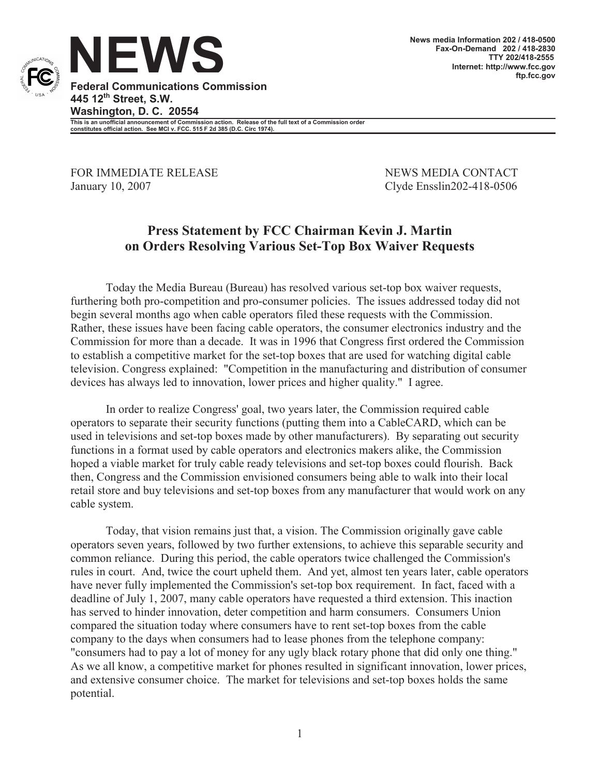

**Federal Communications Commission 445 12th Street, S.W. Washington, D. C. 20554**

**This is an unofficial announcement of Commission action. Release of the full text of a Commission order constitutes official action. See MCI v. FCC. 515 F 2d 385 (D.C. Circ 1974).**

FOR IMMEDIATE RELEASE NEWS MEDIA CONTACT January 10, 2007 Clyde Ensslin202-418-0506

## **Press Statement by FCC Chairman Kevin J. Martin on Orders Resolving Various Set-Top Box Waiver Requests**

Today the Media Bureau (Bureau) has resolved various set-top box waiver requests, furthering both pro-competition and pro-consumer policies. The issues addressed today did not begin several months ago when cable operators filed these requests with the Commission. Rather, these issues have been facing cable operators, the consumer electronics industry and the Commission for more than a decade. It was in 1996 that Congress first ordered the Commission to establish a competitive market for the set-top boxes that are used for watching digital cable television. Congress explained: "Competition in the manufacturing and distribution of consumer devices has always led to innovation, lower prices and higher quality." I agree.

In order to realize Congress' goal, two years later, the Commission required cable operators to separate their security functions (putting them into a CableCARD, which can be used in televisions and set-top boxes made by other manufacturers). By separating out security functions in a format used by cable operators and electronics makers alike, the Commission hoped a viable market for truly cable ready televisions and set-top boxes could flourish. Back then, Congress and the Commission envisioned consumers being able to walk into their local retail store and buy televisions and set-top boxes from any manufacturer that would work on any cable system.

Today, that vision remains just that, a vision. The Commission originally gave cable operators seven years, followed by two further extensions, to achieve this separable security and common reliance. During this period, the cable operators twice challenged the Commission's rules in court. And, twice the court upheld them. And yet, almost ten years later, cable operators have never fully implemented the Commission's set-top box requirement. In fact, faced with a deadline of July 1, 2007, many cable operators have requested a third extension. This inaction has served to hinder innovation, deter competition and harm consumers. Consumers Union compared the situation today where consumers have to rent set-top boxes from the cable company to the days when consumers had to lease phones from the telephone company: "consumers had to pay a lot of money for any ugly black rotary phone that did only one thing." As we all know, a competitive market for phones resulted in significant innovation, lower prices, and extensive consumer choice. The market for televisions and set-top boxes holds the same potential.